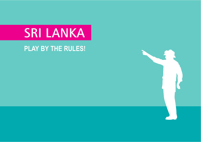# SRI LANKA

**PLAY BY THE RULES!**